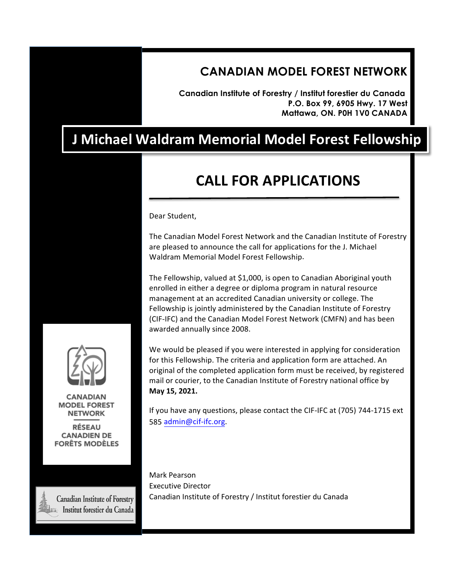### **CANADIAN MODEL FOREST NETWORK**

**Canadian Institute of Forestry / Institut forestier du Canada P.O. Box 99, 6905 Hwy. 17 West Mattawa, ON. P0H 1V0 CANADA**

# **J Michael Waldram Memorial Model Forest Fellowship**

# **CALL FOR APPLICATIONS**

Dear Student,

The Canadian Model Forest Network and the Canadian Institute of Forestry are pleased to announce the call for applications for the J. Michael Waldram Memorial Model Forest Fellowship.

The Fellowship, valued at \$1,000, is open to Canadian Aboriginal youth enrolled in either a degree or diploma program in natural resource management at an accredited Canadian university or college. The Fellowship is jointly administered by the Canadian Institute of Forestry (CIF-IFC) and the Canadian Model Forest Network (CMFN) and has been awarded annually since 2008.

We would be pleased if you were interested in applying for consideration for this Fellowship. The criteria and application form are attached. An original of the completed application form must be received, by registered mail or courier, to the Canadian Institute of Forestry national office by **May 15, 2022.**

If you have any questions, please contact the CIF-IFC at (705) 744-1715 ext 585 admin@cif-ifc.org.

Mark Pearson Executive Director Canadian Institute of Forestry / Institut forestier du Canada



**CANADIAN MODEL FOREST NETWORK** 

**RÉSEAU CANADIEN DE FORÊTS MODÈLES** 

**Canadian Institute of Forestry** Institut forestier du Canada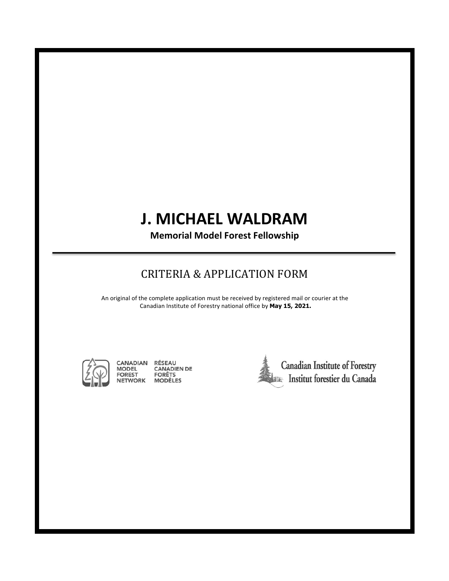# **J.\$MICHAEL\$WALDRAM**

**Memorial Model Forest Fellowship** 

### CRITERIA & APPLICATION FORM

An original of the complete application must be received by registered mail or courier at the Canadian Institute of Forestry national office by May 15, 2022.



RÉSEAU<br>CANADIEN DE<br>FORÊTS CANADIAN **MODEL FOREST NETWORK MODÈLES**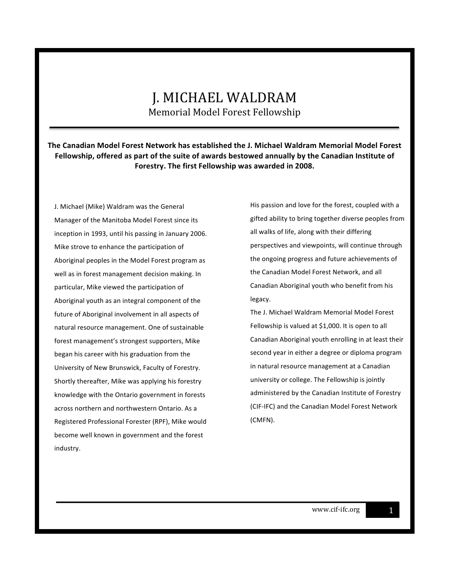#### **The Canadian Model Forest Network has established the J. Michael Waldram Memorial Model Forest** Fellowship, offered as part of the suite of awards bestowed annually by the Canadian Institute of Forestry. The first Fellowship was awarded in 2008.

J. Michael (Mike) Waldram was the General Manager of the Manitoba Model Forest since its inception in 1993, until his passing in January 2006. Mike strove to enhance the participation of Aboriginal peoples in the Model Forest program as well as in forest management decision making. In particular, Mike viewed the participation of Aboriginal youth as an integral component of the future of Aboriginal involvement in all aspects of natural resource management. One of sustainable forest management's strongest supporters, Mike began his career with his graduation from the University of New Brunswick, Faculty of Forestry. Shortly thereafter, Mike was applying his forestry knowledge with the Ontario government in forests across northern and northwestern Ontario. As a Registered Professional Forester (RPF), Mike would become well known in government and the forest industry.

His passion and love for the forest, coupled with a gifted ability to bring together diverse peoples from all walks of life, along with their differing perspectives and viewpoints, will continue through the ongoing progress and future achievements of the Canadian Model Forest Network, and all Canadian Aboriginal youth who benefit from his legacy.

The J. Michael Waldram Memorial Model Forest Fellowship is valued at \$1,000. It is open to all Canadian Aboriginal youth enrolling in at least their second year in either a degree or diploma program in natural resource management at a Canadian university or college. The Fellowship is jointly administered by the Canadian Institute of Forestry (CIF-IFC) and the Canadian Model Forest Network (CMFN).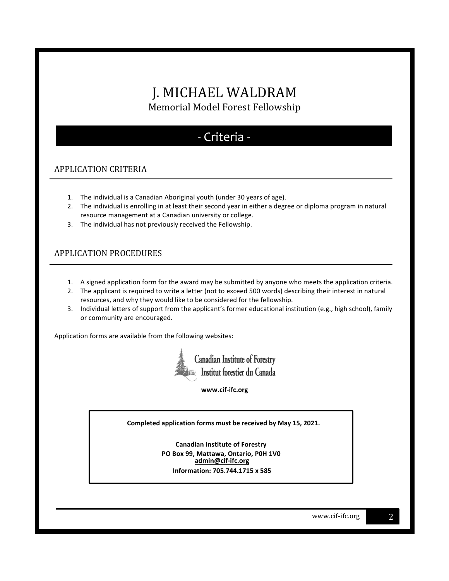### - Criteria -

#### APPLICATION CRITERIA

- 1. The individual is a Canadian Aboriginal youth (under 30 years of age).
- 2. The individual is enrolling in at least their second year in either a degree or diploma program in natural resource management at a Canadian university or college.
- 3. The individual has not previously received the Fellowship.

#### APPLICATION'PROCEDURES''

- 1. A signed application form for the award may be submitted by anyone who meets the application criteria.
- 2. The applicant is required to write a letter (not to exceed 500 words) describing their interest in natural resources, and why they would like to be considered for the fellowship.
- 3. Individual letters of support from the applicant's former educational institution (e.g., high school), family or community are encouraged.

Application forms are available from the following websites:



www.cif-ifc.org

**Completed application forms must be received by May 15, 2021.**

**Canadian Institute of Forestry PO Box 99, Mattawa, Ontario, P0H 1V0 admin@cif-ifc.org Information:\$705.744.1715 x 585**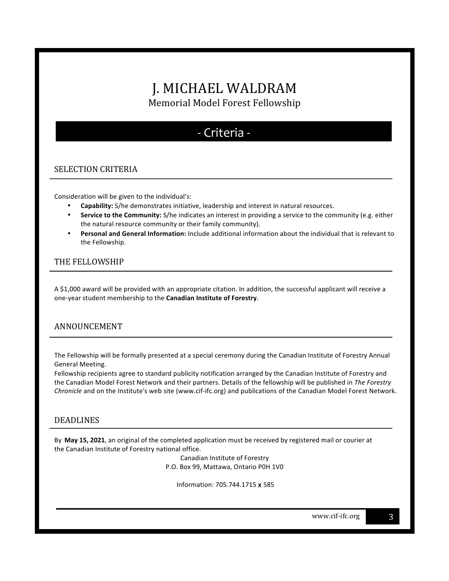## - Criteria -

#### SELECTION CRITERIA

Consideration will be given to the individual's:

- **Capability:** S/he demonstrates initiative, leadership and interest in natural resources.
- **Service to the Community:** S/he indicates an interest in providing a service to the community (e.g. either the natural resource community or their family community).
- **Personal and General Information:** Include additional information about the individual that is relevant to the Fellowship.

#### THE FELLOWSHIP

A \$1,000 award will be provided with an appropriate citation. In addition, the successful applicant will receive a one-year student membership to the **Canadian Institute of Forestry**.

#### **ANNOUNCEMENT**

The Fellowship will be formally presented at a special ceremony during the Canadian Institute of Forestry Annual General Meeting.

Fellowship recipients agree to standard publicity notification arranged by the Canadian Institute of Forestry and the Canadian Model Forest Network and their partners. Details of the fellowship will be published in *The Forestry Chronicle* and on the Institute's web site (www.cif-ifc.org) and publications of the Canadian Model Forest Network.

#### **DEADLINES**

By May 15, 2021, an original of the completed application must be received by registered mail or courier at the Canadian Institute of Forestry national office.

> Canadian Institute of Forestry P.O. Box 99, Mattawa, Ontario P0H 1V0

Information: 705.744.1715 x 585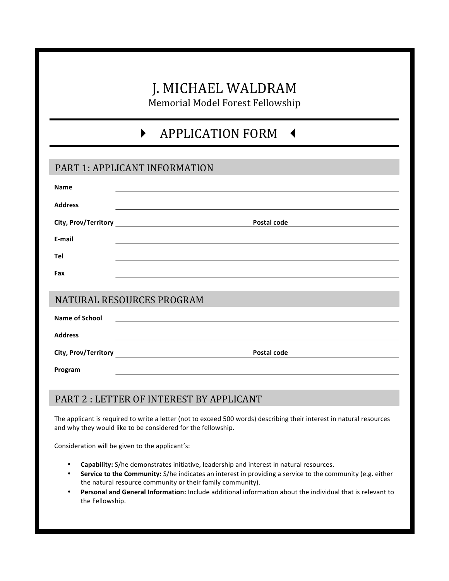## **APPLICATION FORM 4**

#### PART 1: APPLICANT INFORMATION

| Name                      |                                                          |
|---------------------------|----------------------------------------------------------|
| <b>Address</b>            |                                                          |
|                           | Postal code                                              |
| E-mail                    |                                                          |
| Tel                       |                                                          |
| Fax                       |                                                          |
|                           |                                                          |
| NATURAL RESOURCES PROGRAM |                                                          |
| <b>Name of School</b>     | <u> 1980 - Jan Barat, amerikansk politiker (d. 1980)</u> |
| <b>Address</b>            |                                                          |
|                           | Postal code                                              |
| Program                   |                                                          |

#### PART 2: LETTER OF INTEREST BY APPLICANT

The applicant is required to write a letter (not to exceed 500 words) describing their interest in natural resources and why they would like to be considered for the fellowship.

Consideration will be given to the applicant's:

- **Capability:** S/he demonstrates initiative, leadership and interest in natural resources.
- **Service to the Community:** S/he indicates an interest in providing a service to the community (e.g. either the natural resource community or their family community).
- Personal and General Information: Include additional information about the individual that is relevant to the Fellowship.